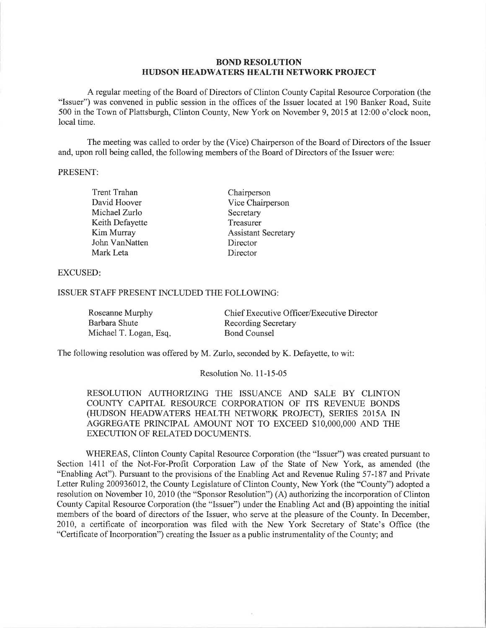## BOND RESOLUTION HUDSON HEADWATERS HEALTH NETWORK PROJECT

A regular meeting of the Board of Directors of Clinton County Capital Resource Corporation (the "Issuer") was convened in public session in the offices of the Issuer located at 190 Banker Road, Suite 500 in the Town of Plattsburgh, Clinton County, New York on November 9,2075 at 12:00 o'clock noon, local time.

The meeting was called to order by the (Vice) Chairperson of the Board of Directors of the Issuer and, upon roll being called, the following members of the Board of Directors of the Issuer were:

#### PRESENT:

| <b>Trent Trahan</b> | Chairperson                |  |
|---------------------|----------------------------|--|
| David Hoover        | Vice Chairperson           |  |
| Michael Zurlo       | Secretary                  |  |
| Keith Defayette     | Treasurer                  |  |
| Kim Murray          | <b>Assistant Secretary</b> |  |
| John VanNatten      | Director                   |  |
| Mark Leta           | Director                   |  |

### EXCUSED

## ISSUER STAFF PRESENT INCLUDED THE FOLLOWING:

| Roseanne Murphy        | Chief Executive Officer/Executive Director |
|------------------------|--------------------------------------------|
| Barbara Shute          | <b>Recording Secretary</b>                 |
| Michael T. Logan, Esq. | <b>Bond Counsel</b>                        |

The following resolution was offered by M. Zurlo, seconded by K. Defayette, to wit:

### Resolution No. 11-15-05

RESOLUTION AUTHORIZING THE ISSUANCE AND SALE BY CLINTON COUNTY CAPITAL RESOURCE CORPORATION OF ITS REVENUE BONDS (HUDSON HEADWATERS HEALTH NETWORK PROJECT), SERIES 2015A IN AGGREGATE PRINCIPAL AMOLINT NOT TO EXCEED \$IO,OOO,OOO AND THE EXECUTION OF RELATED DOCUMENTS.

WHEREAS, Clinton County Capital Resource Corporation (the "Issuer") was created pursuant to Section 1411 of the Not-For-Profit Corporation Law of the State of New York, as amended (the "Enabling Act"). Pursuant to the provisions of the Enabling Act and Revenue Ruling 57-187 and Private Letter Ruling 200936012, the County Legislature of Clinton County, New York (the "County") adopted a resolution on November 10, 2010 (the "Sponsor Resolution") (A) authorizing the incorporation of Clinton County Capital Resource Corporation (the "Issuer") under the Enabling Act and (B) appointing the initial members of the board of directors of the Issuer, who serve at the pleasure of the County. In December, 2010, a certificate of incorporation was filed with the New York Secretary of State's Office (the "Certificate of Incorporation") creating the Issuer as a public instrumentality of the County; and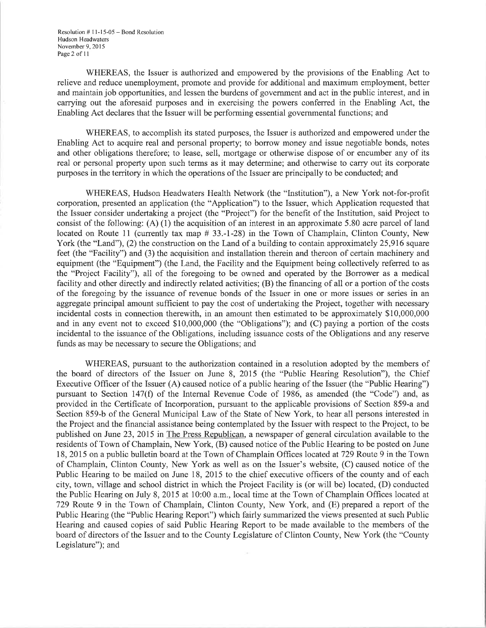Resolution # I l-15-05 - Bond Resolution Hudson Headwaters November 9, 2015 Page2 of ll

WHEREAS, the Issuer is authorized and empowered by the provisions of the Enabling Act to relieve and reduce unemployment, promote and provide for additional and maximum employment, better and maintain job opportunities, and lessen the burdens of governrnent and act in the public interest, and in carrying out the aforesaid purposes and in exercising the powers conferred in the Enabling Act, the Enabling Act declares that the Issuer will be performing essential govemmental functions; and

WHEREAS, to accomplish its stated purposes, the Issuer is authorized and empowered under the Enabling Act to acquire real and personal property; to borrow money and issue negotiable bonds, notes and other obligations therefore; to lease, sell, mortgage or otherwise dispose of or encumber any of its real or personal property upon such terms as it may determine; and otherwise to carry out its corporate purposes in the territory in which the operations of the Issuer are principally to be conducted; and

WHEREAS, Hudson Headwaters Health Network (the "Institution"), a New York not-for-profit corporation, presented an application (the "Application") to the Issuer, which Application requested that the Issuer consider undertaking a project (the "Project") for the benefit of the Institution, said Project to consist of the following: (A) (l) the acquisition of an interest in an approximate 5.80 acre parcel of land located on Route 11 (currently tax map #33.-1-28) in the Town of Champlain, Clinton County, New York (the "Land"), (2) the construction on the Land of a building to contain approximately  $25,916$  square feet (the "Facility") and (3) the acquisition and installation therein and thereon of certain machinery and equipment (the "Equipment") (the Land, the Facility and the Equipment being collectively referred to as the "Project Facility"), all of the foregoing to be owned and operated by the Borrower as a medical facility and other directly and indirectly related activities; (B) the financing of all or a portion of the costs of the foregoing by the issuance of revenue bonds of the Issuer in one or more issues or series in an aggregate principal amount sufficient to pay the cost of undertaking the Project, together with necessary incidental costs in connection therewith, in an amount then estimated to be approximately \$10,000,000 and in any event not to exceed \$10,000,000 (the "Obligations"); and (C) paying a portion of the costs incidental to the issuance of the Obligations, including issuance costs of the Obligations and any reserve funds as may be necessary to secure the Obligations; and

WHEREAS, pursuant to the authorization contained in a resolution adopted by the members of the board of directors of the Issuer on June 8, 2015 (the "Public Hearing Resolution"), the Chief Executive Officer of the Issuer (A) caused notice of a public hearing of the Issuer (the "Public Hearing") pursuant to Section 147(Ð of the Internal Revenue Code of 1986, as amended (the "Code") and, as provided in the Certificate of Lrcorporation, pursuant to the applicable provisions of Section 859-a and Section 859-b of the General Municipal Law of the State of New York, to hear all persons interested in the Project and the financial assistance being contemplated by the Issuer with respect to the Project, to be published on June 23,2015 in The Press Republican, a newspaper of general circulation available to the residents of Town of Champlain, New York, (B) caused notice of the Public Hearing to be posted on June 18, 2015 on a public bulletin board at the Town of Champlain Offices located at 729 Route 9 in the Town of Champlain, Clinton County, New York as well as on the Issuer's website, (C) caused notice of the Public Hearing to be mailed on June 18, 2015 to the chief executive officers of the county and of each city, town, village and school district in which the Project Facility is (or will be) located, (D) conducted the Public Hearing on July 8, 2015 at l0:00 a.m., local time at the Town of Champlain Offices located at 729 Route 9 in the Town of Champlain, Clinton County, New York, and (E) prepared a report of the Public Hearing (the "Public Hearing Report") which fairly summarized the views presented at such Public Hearing and caused copies of said Public Hearing Report to be made available to the members of the board of directors of the Issuer and to the County Legislature of Clinton County, New York (the "County Legislature"); and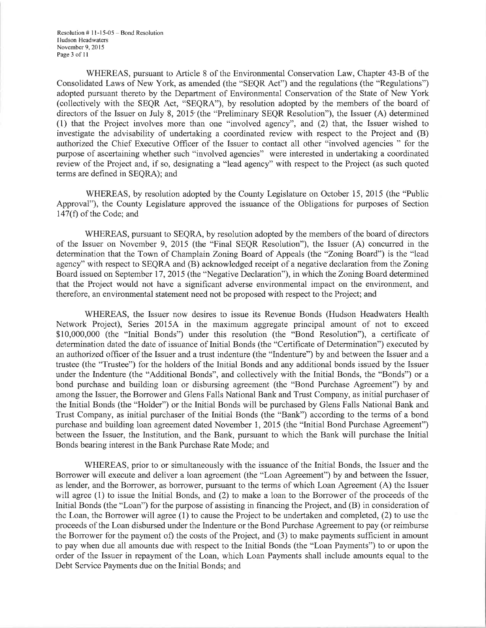Resolution  $# 11-15-05$  – Bond Resolution Iludson Headwaters November 9, 2015 Page 3 of 11

WHEREAS, pursuant to Article 8 of the Environmental Conservation Law, Chapter 43-B of the Consolidated Laws of New York, as amended (the "SEQR Act") and the regulations (the "Regulations") adopted pursuant thereto by the Department of Environmental Conservation of the State of New York (collectively with the SEQR Act, "SEQRA"), by resolution adopted by the members of the board of directors of the Issuer on July 8, 2015 (the "Preliminary SEQR Resolution"), the Issuer (A) determined (1) that the Project involves more than one "involved agency", and (2) that, the Issuer wished to investigate the advisability of undertaking a coordinated review with respect to the Project and (B) authorized the Chief Executive Officer of the Issuer to contact all other "involved agencies " for the purpose of ascertaining whether such "involved agencies" were interested in undertaking a coordinated review of the Project and, if so, designating a "lead agency" with respect to the Project (as such quoted terms are defined in SEQRA); and

WHEREAS, by resolution adopted by the County Legislature on October 15, 2015 (the "Public Approval"), the County Legislature approved the issuance of the Obligations for purposes of Section 147(Ð of the Code; and

WHEREAS, pursuant to SEQRA, by resolution adopted by the members of the board of directors of the Issuer on November 9, 2015 (the "Final SEQR Resolution"), the Issuer (A) concurred in the determination that the Town of Champlain Zoning Board of Appeals (the "Zoning Board") is the "lead agency" with respect to SEQRA and (B) acknowledged receipt of a negative declaration from lhe Zoning Board issued on September 17, 2015 (the "Negative Declaration"), in which the Zoning Board determined that the Project would not have a significant adverse environmental impact on the environment, and therefore, an environmental statement need not be proposed with respect to the Project; and

WHEREAS, the Issuer now desires to issue its Revenue Bonds (Hudson Headwaters Health Network Project), Series 20154 in the maximum aggregate principal amount of not to exceed \$10,000,000 (the "Initial Bonds") under this resolution (the "Bond Resolution"), a certificate of determination dated the date of issuance of Initial Bonds (the "Certificate of Determination") executed by an authorized officer of the Issuer and a trust indenture (the "Indenture") by and between the Issuer and a trustee (the "Trustee") for the holders of the Initial Bonds and any additional bonds issued by the Issuer under the Indenture (the "Additional Bonds", and collectively with the Initial Bonds, the "Bonds") or a bond purchase and building loan or disbursing agreement (the "Bond Purchase Agreement") by and among the Issuer, the Borrower and Glens Falls National Bank and Trust Company, as initial purchaser of the Initial Bonds (the "Holder") or the Initial Bonds will be purchased by Glens Falls National Bank and Trust Company, as initial purchaser of the Initial Bonds (the "Bank") according to the terms of a bond purchase and building loan agreement dated November 1, 2015 (the "Initial Bond Purchase Agreement") between the Issuer, the Institution, and the Bank, pursuant to which the Bank will purchase the Initial Bonds bearing interest in the Bank Purchase Rate Mode; and

WHEREAS, prior to or simultaneously with the issuance of the Initial Bonds, the Issuer and the Borrower will execute and deliver a loan agreement (the "Loan Agreement") by and between the Issuer, as lender, and the Borrower, as borrower, pursuant to the terms of which Loan Agreement (A) the Issuer will agree (1) to issue the Initial Bonds, and (2) to make a loan to the Borrower of the proceeds of the Initial Bonds (the "Loan") for the purpose of assisting in financing the Project, and (B) in consideration of the Loan, the Borrower will agree (1) to cause the Project to be undertaken and completed, (2) to use the proceeds of the Loan disbursed under the Indenture or the Bond Purchase Agreement to pay (or reimburse the Borrower for the payment of) the costs of the Project, and (3) to make payments sufficient in amount to pay when due all amounts due with respect to the Initial Bonds (the "Loan Payments") to or upon the order of the Issuer in repayment of the Loan, which Loan Payments shall include amounts equal to the Debt Service Payments due on the Initial Bonds; and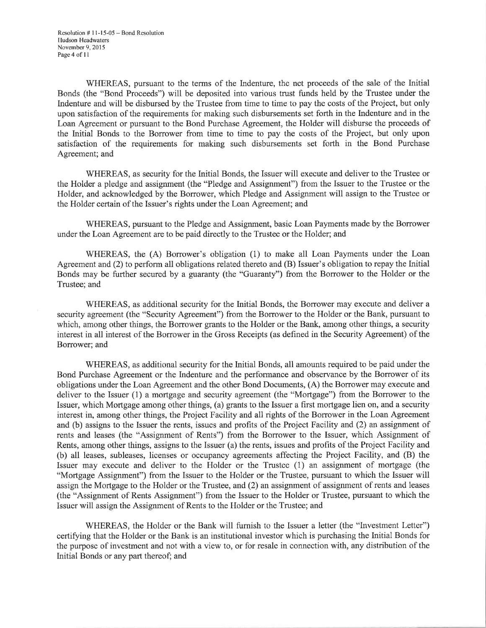WHEREAS, pursuant to the terms of the Indenture, the net proceeds of the sale of the Initial Bonds (the "Bond Proceeds") will be deposited into various trust funds held by the Trustee under the Indenture and will be disbursed by the Trustee from time to time to pay the costs of the Project, but only upon satisfaction of the requirements for making such disbursements set forth in the Indenture and in the Loan Agreement or pursuant to the Bond Purchase Agreement, the Holder will disburse the proceeds of the Initial Bonds to the Borrower from time to time to pay the costs of the Project, but only upon satisfaction of the requirements for making such disbursements set forth in the Bond Purchase Agreement; and

WHEREAS, as security for the Initial Bonds, the Issuer will execute and deliver to the Trustee or the Holder a pledge and assignment (the "Pledge and Assignment") from the Issuer to the Trustee or the Holder, and acknowledged by the Borrower, which Pledge and Assignment will assign to the Trustee or the Holder certain of the Issuer's rights under the Loan Agreement; and

WHEREAS, pursuant to the Pledge and Assignment, basic Loan Payments made by the Borrower under the Loan Agreement are to be paid directly to the Trustee or the Holder; and

WHEREAS, the (A) Borrower's obligation (1) to make all Loan Payments under the Loan Agreement and  $(2)$  to perform all obligations related thereto and  $(B)$  Issuer's obligation to repay the Initial Bonds may be further secured by a guaranty (the "Guaranty'') from the Borrower to the Holder or the Trustee; and

WHEREAS, as additional security for the Initial Bonds, the Borrower may execute and deliver a security agreement (the "Security Agreement") from the Borrower to the Holder or the Bank, pursuant to which, among other things, the Borrower grants to the Holder or the Bank, among other things, a security interest in all interest of the Borrower in the Gross Receipts (as defined in the Security Agreement) of the Borrower; and

WHEREAS, as additional security for the Initial Bonds, all amounts required to be paid under the Bond Purchase Agreement or the Indenture and the performance and observance by the Borrower of its obligations under the Loan Agreement and the other Bond Documents, (A) the Borrower may execute and deliver to the Issuer (l) a mortgage and security agreement (the "Mortgage") from the Borrower to the Issuer, which Mortgage among other things, (a) grants to the Issuer a first mortgage lien on, and a security interest in, among other things, the Project Facility and all rights of the Borrower in the Loan Agreement and (b) assigns to the Issuer the rents, issues and profits of the Project Facility and (2) an assignment of rents and leases (the "Assignment of Rents") from the Borrower to the Issuer, which Assignment of Rents, among other things, assigns to the Issuer (a) the rents, issues and profits of the Project Facility and (b) all leases, subleases, licenses or occupancy agreements affecting the Project Facility, and (B) the Issuer may execute and deliver to the Holder or the Trustee (1) an assignment of mortgage (the "Mortgage Assignment") from the Issuer to the Holder or the Trustee, pursuant to which the Issuer will assign the Mortgage to the Holder or the Trustee, and (2) an assignment of assignment of rents and leases (the "Assignment of Rents Assignment") from the Issuer to the Holder or Trustee, pursuant to which the Issuer will assign the Assignment of Rents to the Holder or the Trustee; and

WHEREAS, the Holder or the Bank will furnish to the Issuer a letter (the "Investment Letter") certifying that the Holder or the Bank is an institutional investor which is purchasing the Initial Bonds for the purpose of investment and not with a view to, or for resale in connection with, any distribution of the Initial Bonds or any part thereof; and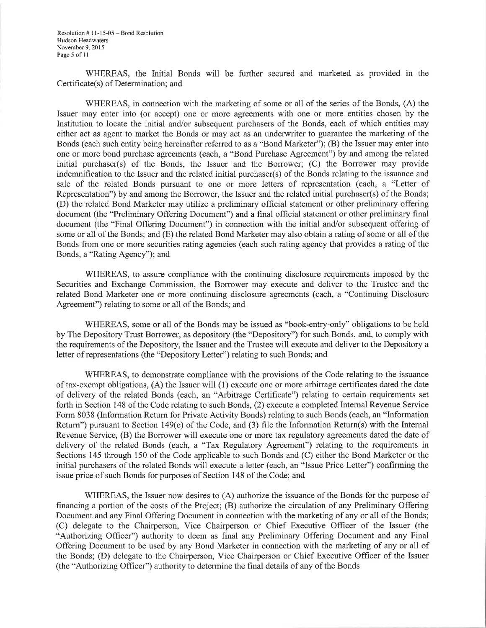Resolution # I l-15-05 - Bond Resolution Hudson Headwaters November 9, 2015 Page 5 of 11

WHEREAS, the Initial Bonds will be further secured and marketed as provided in the Certificate(s) of Determination; and

WHEREAS, in connection with the marketing of some or all of the series of the Bonds, (A) the Issuer may enter into (or accept) one or more agreements with one or more entities chosen by the Lrstitution to locate the initial and/or subsequent purchasers of the Bonds, each of which entities may either act as agent to market the Bonds or may act as an underwriter to guarantee the marketing of the Bonds (each such entity being hereinafter referred to as a "Bond Marketer"); (B) the Issuer may enter into one or more bond purchase agreements (each, a "Bond Purchase Agreement") by and among the related initial purchaser(s) of the Bonds, the Issuer and the Borrower; (C) the Borrower may provide indemnification to the Issuer and the related initial purchaser(s) of the Bonds relating to the issuance and sale of the related Bonds pursuant to one or more letters of representation (each, a "Letter of Representation") by and among the Borrower, the Issuer and the related initial purchaser(s) of the Bonds; (D) the related Bond Marketer may utilize a preliminary official statement or other preliminary offering document (the "Preliminary Offering Document") and a final official statement or other preliminary final document (the "Final Offering Document") in connection with the initial and/or subsequent offering of some or all of the Bonds; and (E) the related Bond Marketer may also obtain a rating of some or all of the Bonds from one or more securities rating agencies (each such rating agency that provides a rating of the Bonds, a "Rating Agency"); and

WHEREAS, to assure compliance with the continuing disclosure requirements imposed by the Securities and Exchange Commission, the Borrower may execute and deliver to the Trustee and the related Bond Marketer one or more continuing disclosure agreements (each, a "Continuing Disclosure Agreement") relating to some or all of the Bonds; and

WHEREAS, some or all of the Bonds may be issued as "book-entry-only" obligations to be held by The Depository Trust Borrower, as depository (the "Depository") for such Bonds, and, to comply with the requirements of the Depository, the Issuer and the Trustee will execute and deliver to the Depository a letter of representations (the "Depository Letter") relating to such Bonds; and

WHEREAS, to demonstrate compliance with the provisions of the Code relating to the issuance of tax-exempt obligations, (A) the Issuer will (l) execute one or more arbitrage certificates dated the date of delivery of the related Bonds (each, an "Arbitrage Certificate") relating to certain requirements set forth in Section 148 of the Code relating to such Bonds, (2) execute a completed Internal Revenue Service Form 8038 (Information Return for Private Activity Bonds) relating to such Bonds (each, an "Information Return") pursuant to Section 149(e) of the Code, and (3) file the Information Return(s) with the Internal Revenue Service, (B) the Borrower will execute one or more tax regulatory agreements dated the date of delivery of the related Bonds (each, a "Tax Regulatory Agreement") relating to the requirements in Sections 145 through 150 of the Code applicable to such Bonds and (C) either the Bond Marketer or the initial purchasers of the related Bonds will execute a letter (each, an "Issue Price Letter") confirming the issue price of such Bonds for purposes of Section 148 of the Code; and

WHEREAS, the Issuer now desires to (A) authorize the issuance of the Bonds for the purpose of financing a portion of the costs of the Project; (B) authorize the circulation of any Preliminary Offering Document and any Final Offering Document in connection with the marketing of any or all of the Bonds; (C) delegate to the Chairperson, Vice Chairperson or Chief Executive Ofhcer of the Issuer (the "Authorizing Officer") authority to deem as final any Preliminary Offering Document and any Final Offering Document to be used by any Bond Marketer in connection with the marketing of any or all of the Bonds; (D) delegate to the Chairperson, Vice Chairperson or Chief Executive Officer of the Issuer (the "Authorizing Officer") authority to determine the final details of any of the Bonds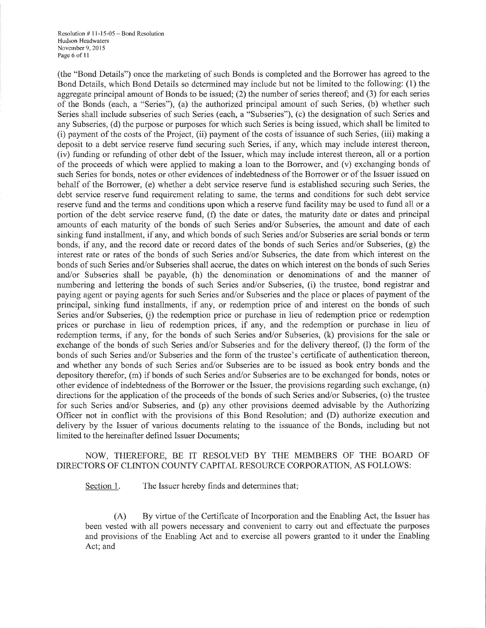Resolution # I l-15-05 - Bond Resolution Hutlson Headwaters November 9, 2015 Page 6 of 11

(the "Bond Details") once the marketing of such Bonds is completed and the Borrower has agreed to the Bond Details, which Bond Details so determined may include but not be limited to the following: (1) the aggregate principal amount of Bonds to be issued; (2) the number of series thereof; and (3) for each series of the Bonds (each, a "Series"), (a) the authorized principal amount of such Series, (b) whether such Series shall include subseries of such Series (each, a "Subseries"), (c) the designation of such Series and any Subseries, (d) the purpose or purposes for which such Series is being issued, which shall be limited to (i) payment of the costs of the Project, (ii) payment of the costs of issuance of such Series, (iii) making <sup>a</sup> deposit to a debt service reserve fund securing such Series, if any, which may include interest thereon, (iv) funding or refunding of other debt of the Issuer, which may include interest thereon, all or a portion of the proceeds of which were applied to making a loan to the Borrower, and (v) exchanging bonds of such Series for bonds, notes or other evidences of indebtedness of the Borrower or of the Issuer issued on behalf of the Borrower, (e) whether a debt service reserve fund is established securing such Series, the debt service reserve fund requirement relating to same, the terms and conditions for such debt service reserve fund and the terms and conditions upon which a reserve fund facility may be used to fund all or a portion of the debt service reserve fund, (f) the date or dates, the maturity date or dates and principal amounts of each maturity of the bonds of such Series and/or Subseries, the amount and date of each sinking fund installment, if any, and which bonds of such Series and/or Subseries are serial bonds or term bonds, if any, and the record date or record dates of the bonds of such Series and/or Subseries, (g) the interest rate or rates of the bonds of such Series and/or Subseries, the date from which interest on the bonds of such Series and/or Subseries shall accrue, the dates on which interest on the bonds of such Series and/or Subseries shall be payable, (h) the denomination or denominations of and the manner of numbering and lettering the bonds of such Series and/or Subseries, (i) the trustee, bond registrar and paying agent or paying agents for such Series and/or Subseries and the place or places of payment of the principal, sinking fund installments, if any, or redemption price of and interest on the bonds of such Series and/or Subseries, (j) the redemption price or purchase in lieu of redemption price or redemption prices or purchase in lieu of redemption prices, if any, and the redemption or purchase in lieu of redemption terms, if any, for the bonds of such Series and/or Subseries, (k) provisions for the sale or exchange of the bonds of such Series and/or Subseries and for the delivery thereof, (l) the form of the bonds of such Series and/or Subseries and the form of the trustee's certificate of authentication thereon, and whether any bonds of such Series and/or Subseries are to be issued as book entry bonds and the depository therefor, (m) if bonds of such Series and/or Subseries are to be exchanged for bonds, notes or other evidence ofindebtedness ofthe Borrower or the Issuer, the provisions regarding such exchange, (n) directions for the application of the proceeds of the bonds of such Series and/or Subseries, (o) the trustee for such Series and/or Subseries, and (p) any other provisions deemed advisable by the Authorizing Officer not in conflict with the provisions of this Bond Resolution; and (D) authorize execution and delivery by the Issuer of various documents relating to the issuance of the Bonds, including but not limited to the hereinafter defined Issuer Documents;

# NOW, THEREFORE, BE IT RESOLVED BY THE MEMBERS OF THE BOARD OF DIRECTORS OF CLINTON COUNTY CAPITAL RESOURCE CORPORATION, AS FOLLOWS:

Section 1. The Issuer hereby finds and determines that:

(A) By virtue of the Certificate of Incorporation and the Enabling Act, the Issuer has been vested with all powers necessary and convenient to carry out and effectuate the purposes and provisions of the Enabling Act and to exercise all powers granted to it under the Enabling Act; and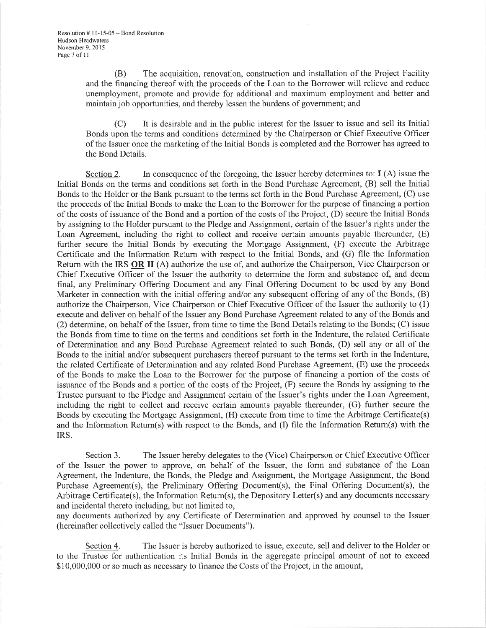(B) The acquisition, renovation, construction and installation of the Project Facility and the financing thereof with the proceeds of the Loan to the Borrower will relieve and reduce unemployment, promote and provide for additional and maximum employment and better and maintain job opportunities, and thereby lessen the burdens of government; and

(C) It is desirable and in the public interest for the Issuer to issue and sell its Initial Bonds upon the terms and conditions determined by the Chairperson or Chief Executive Officer of the lssuer once the marketing of the Initial Bonds is completed and the Borrower has agreed to the Bond Details.

Section 2. In consequence of the foregoing, the Issuer hereby determines to:  $I(A)$  issue the Initial Bonds on the terms and conditions set forth in the Bond Purchase Agreement, (B) sell the Initial Bonds to the Holder or the Bank pursuant to the terms set forth in the Bond Purchase Agreement, (C) use the proceeds of the Initial Bonds to make the Loan to the Borrower for the purpose of financing a portion of the costs of issuance of the Bond and a portion of the costs of the Project, (D) secure the Initial Bonds by assigning to the Holder pursuant to the Pledge and Assignment, certain of the Issuer's rights under the Loan Agreement, including the right to collect and receive certain amounts payable thereunder, (E) further secure the Initial Bonds by executing the Mortgage Assignment, (F) execute the Arbitrage Certificate and the Information Return with respect to the Initial Bonds, and (G) hle the Information Return with the IRS OR II (A) authorize the use of, and authorize the Chairperson, Vice Chairperson or Chief Executive Officer of the Issuer the authority to determine the form and substance of, and deem final, any Preliminary Offering Document and any Final Offering Document to be used by any Bond Marketer in connection with the initial offering and/or any subsequent offering of any of the Bonds, (B) authorize the Chairperson, Vice Chairperson or Chief Executive Officer of the Issuer the authority to (1) execute and deliver on behalf of the Issuer any Bond Purchase Agreement related to any of the Bonds and (2) determine, on behalf of the Issuer, from time to time the Bond Details relating to the Bonds; (C) issue the Bonds from time to time on the terms and conditions set forth in the Indenture, the related Certificate of Determination and any Bond Purchase Agreement related to such Bonds, (D) sell any or all of the Bonds to the initial and/or subsequent purchasers thereof pursuant to the terms set forth in the Indenture, the related Certificate of Determination and any related Bond Purchase Agreement, (E) use the proceeds of the Bonds to make the Loan to the Borrower for the purpose of financing a portion of the costs of issuance of the Bonds and a portion of the costs of the Project, (F) secure the Bonds by assigning to the Trustee pursuant to the Pledge and Assignment certain of the Issuer's rights under the Loan Agreement, including the right to collect and receive certain amounts payable thereunder, (G) further secure the Bonds by executing the Mortgage Assignment, (H) execute from time to time the Arbitrage Certificate(s) and the Information Return(s) with respect to the Bonds, and (I) file the Information Retum(s) with the IRS.

Section 3. The Issuer hereby delegates to the (Vice) Chairperson or Chief Executive Officer of the Issuer the power to approve, on behalf of the Issuer, the form and substance of the Loan Agreement, the Indenture, the Bonds, the Pledge and Assignment, the Mortgage Assignment, the Bond Purchase Agreement(s), the Preliminary Offering Document(s), the Final Offering Document(s), the Arbitrage Certificate(s), the Information Return(s), the Depository Letter(s) and any documents necessary and incidental thereto including, but not limited to,

any documents authorized by any Certificate of Determination and approved by counsel to the Issuer (hereinafter collectively called the "Issuer Documents").

Section 4. The Issuer is hereby authorized to issue, execute, sell and deliver to the Holder or to the Trustee for authentication its Initial Bonds in the aggregate principal amount of not to exceed \$10,000,000 or so much as necessary to finance the Costs of the Project, in the amount,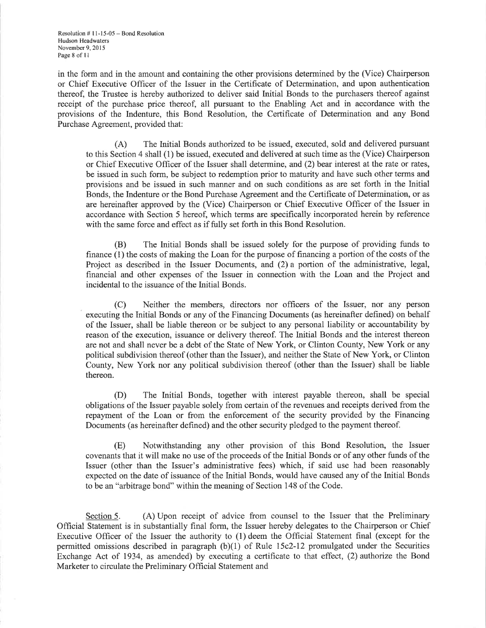Resolution # I l-15-05 - Bond Resolution Hutlson Headwaters November 9, 20 I 5 Page 8 of 11

in the form and in the amount and containing the other provisions determined by the (Vice) Chairperson or Chief Executive Officer of the Issuer in the Certificate of Determination, and upon authentication thereof, the Trustee is hereby authorized to deliver said Initial Bonds to the purchasers thereof against receipt of the purchase price thereof, all pursuant to the Enabling Act and in accordance with the provisions of the Indenture, this Bond Resolution, the Certificate of Determination and any Bond Purchase Agreement, provided that:

(A) The kritial Bonds authorized to be issued, executed, sold and delivered pursuant to this Section 4 shall (1) be issued, executed and delivered at such time as the (Vice) Chairperson or Chief Executive Officer of the Issuer shall determine, and (2) bear interest at the rate or rates, be issued in such form, be subject to redemption prior to maturity and have such other terms and provisions and be issued in such manner and on such conditions as are set forth in the Initial Bonds, the Indenture or the Bond Purchase Agreement and the Certificate of Determination, or as are hereinafter approved by the (Vice) Chairperson or Chief Executive Officer of the Issuer in accordance with Section 5 hereof, which terms are specifically incorporated herein by reference with the same force and effect as if fully set forth in this Bond Resolution.

(B) The lnitial Bonds shall be issued solely for the purpose of providing funds to finance (1) the costs of making the Loan for the purpose of financing a portion of the costs of the Project as described in the Issuer Documents, and (2) a portion of the administrative, legal, financial and other expenses of the Issuer in connection with the Loan and the Project and incidental to the issuance of the Initial Bonds.

(C) Neither the members, directors nor officers of the Issuer, nor any person executing the Initial Bonds or any of the Financing Documents (as hereinafter defined) on behalf ofthe Issuer, shall be liable thereon o¡ be subject to any personal liability or accountability by reason of the execution, issuance or delivery thereof. The Initial Bonds and the interest thereon are not and shall never be a debt of the State of New York, or Clinton County, New York or any political subdivision thereof (other than the Issuer), and neither the State of New York, or Clinton County, New York nor any political subdivision thereof (other than the Issuer) shall be liable thereon.

(D) The Initial Bonds, together with interest payable thereon, shall be special obligations of the Issuer payable solely from certain of the revenues and receipts derived from the repayment of the Loan or from the enforcement of the security provided by the Financing Documents (as hereinafter defined) and the other security pledged to the payment thereof.

(E) Notwithstanding any other provision of this Bond Resolution, the Issuer covenants that it will make no use of the proceeds of the Initial Bonds or of any other funds of the Issuer (other than the Issuer's administrative fees) which, if said use had been reasonably expected on the date of issuance of the lnitial Bonds, would have caused any of the Initial Bonds to be an "arbitrage bond" within the meaning of Section 148 of the Code.

Section 5. (A) Upon receipt of advice from counsel to the Issuer that the Preliminary Official Statement is in substantially hnal form, the Issuer hereby delegates to the Chairperson or Chief Executive Officer of the Issuer the authority to (1) deem the Official Statement final (except for the permitted omissions described in paragraph  $(b)(1)$  of Rule 15c2-12 promulgated under the Securities Exchange Act of 1934, as amended) by executing a certificate to that effect, (2) authorize the Bond Marketer to circulate the Preliminary Official Statement and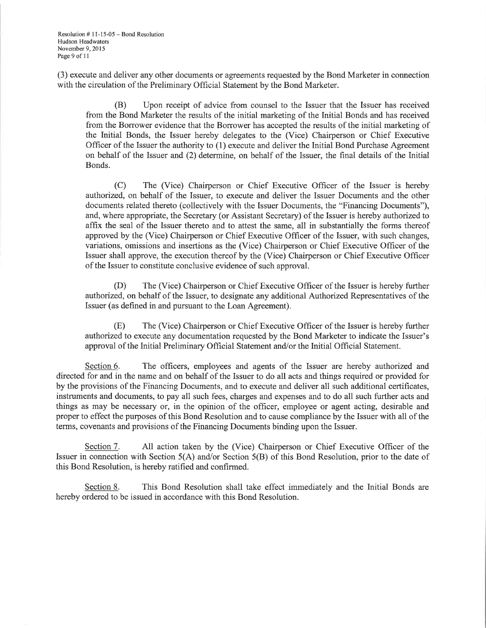Resolution # I l-15-05 - Bond Resolution Hudson Headwaters November 9, 2015 Page 9 of 11

(3) execute and deliver any other documents or agreements requested by the Bond Marketer in connection with the circulation of the Preliminary Official Statement by the Bond Marketer.

(B) Upon receipt of advice from counsel to the Issuer that the Issuer has received from the Bond Marketer the results of the initial marketing of the Initial Bonds and has received from the Borrower evidence that the Borrower has accepted the results of the initial marketing of the lnitial Bonds, the Issuer hereby delegates to the (Vice) Chairperson or Chief Executive Officer of the Issuer the authority to (1) execute and deliver the tnitial Bond Purchase Agreement on behalf of the Issuer and (2) determine, on behalf of the Issuer, the final details of the Initial Bonds.

(C) The (Vice) Chairperson or Chief Executive Officer of the Issuer is hereby authorized, on behalf of the Issuer, to execute and deliver the Issuer Documents and the other documents related thereto (collectively with the Issuer Documents, the "Financing Documents"), and, where appropriate, the Secretary (or Assistant Secretary) of the Issuer is hereby authorized to affix the seal of the Issuer thereto and to attest the same, all in substantially the forms thereof approved by the (Vice) Chairperson or Chief Executive Officer of the Issuer, with such changes, variations, omissions and insertions as the (Vice) Chairperson or Chief Executive Officer of the Issuer shall approve, the execution thereof by the (Vice) Chairperson or Chief Executive Officer of the Issuer to constitute conclusive evidence of such approval.

(D) The (Vice) Chairperson or Chief Executive Officer of the Issuer is hereby further authorized, on behalf of the Issuer, to designate any additional Authorized Representatives of the Issuer (as defined in and pursuant to the Loan Agreement).

(E) The (Vice) Chairperson or Chief Executive Officer of the Issuer is hereby fuither authorized to execute any documentation requested by the Bond Marketer to indicate the Issuer's approval of the Initial Preliminary Official Statement and/or the Initial Official Statement.

Section 6. The officers, employees and agents of the Issuer are hereby authorized and directed for and in the name and on behalf of the Issuer to do all acts and things required or provided for by the provisions of the Financing Documents, and to execute and deliver all such additional certificates, instruments and documents, to pay all such fees, charges and expenses and to do all such further acts and things as may be necessary or, in the opinion of the officer, employee or agent acting, desirable and proper to effect the purposes of this Bond Resolution and to cause compliance by the Issuer with all of the terms, covenants and provisions of the Financing Documents binding upon the Issuer.

Section 7. All action taken by the (Vice) Chairperson or Chief Executive Officer of the Issuer in connection with Section 5(A) and/or Section 5(B) of this Bond Resolution, prior to the date of this Bond Resolution, is hereby ratified and confirmed.

Section 8. This Bond Resolution shall take effect immediately and the Initial Bonds are hereby ordered to be issued in accordance with this Bond Resolution.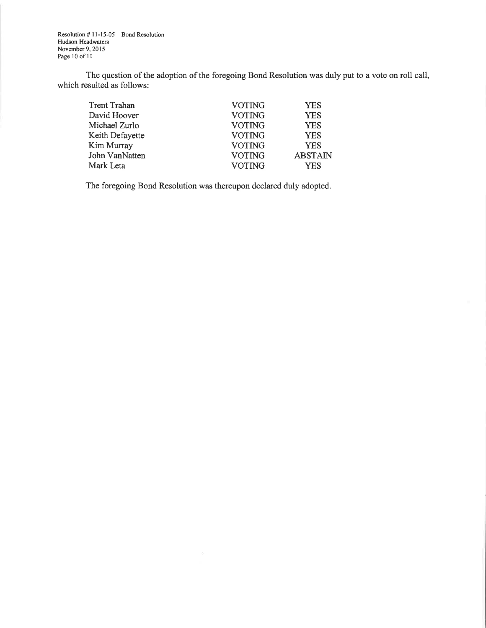Resolution # 11-15-05 – Bond Resolution<br>Hudson Headwaters November 9, 2015 Page 10 of 11

The question of the adoption of the foregoing Bond Resolution was duly put to a vote on roll call, which resulted as follows:

| <b>Trent Trahan</b> | <b>VOTING</b> | <b>YES</b>     |
|---------------------|---------------|----------------|
| David Hoover        | <b>VOTING</b> | <b>YES</b>     |
| Michael Zurlo       | <b>VOTING</b> | <b>YES</b>     |
| Keith Defayette     | <b>VOTING</b> | <b>YES</b>     |
| <b>Kim Murray</b>   | <b>VOTING</b> | <b>YES</b>     |
| John VanNatten      | <b>VOTING</b> | <b>ABSTAIN</b> |
| Mark Leta           | <b>VOTING</b> | <b>YES</b>     |

The foregoing Bond Resolution was thereupon declared duly adopted.

 $\bar{\sigma}$